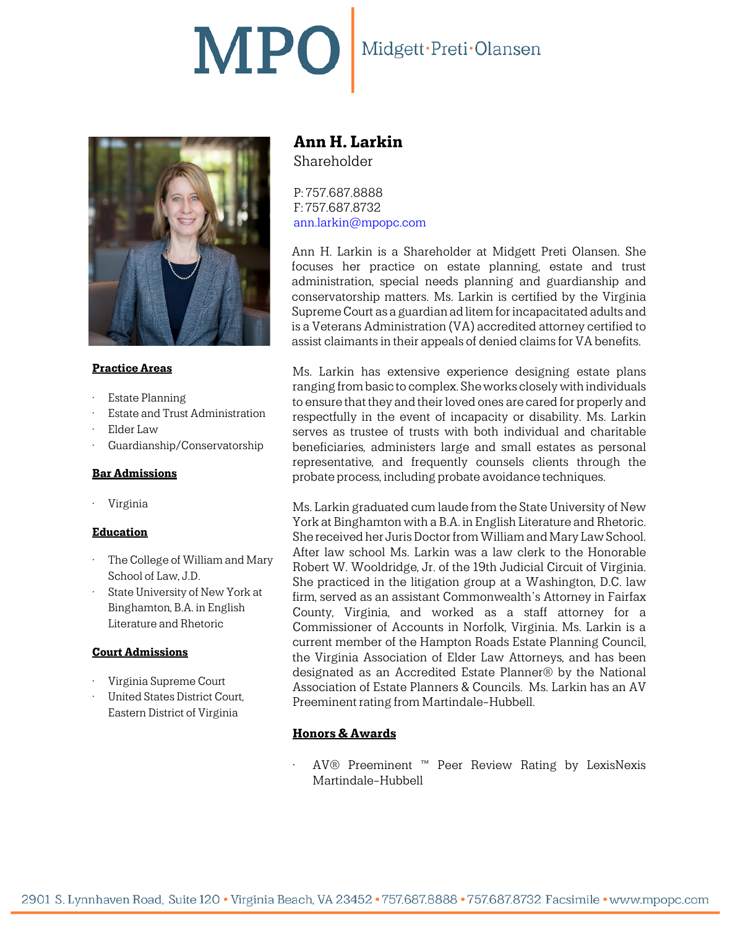# MPO Midgett·Preti·Olansen



## **Practice Areas**

- **Estate Planning**
- Estate and Trust Administration
- Elder Law
- Guardianship/Conservatorship

#### **Bar Admissions**

• Virginia

## **Education**

- The College of William and Mary School of Law, J.D.
- State University of New York at Binghamton, B.A. in English Literature and Rhetoric

#### **Court Admissions**

- Virginia Supreme Court
- United States District Court, Eastern District of Virginia

# **Ann H. Larkin** Shareholder

P: 757.687.8888 F: 757.687.8732 [ann.larkin@mpopc.com](mailto:ann.larkin@mpopc.com)

Ann H. Larkin is a Shareholder at Midgett Preti Olansen. She focuses her practice on estate planning, estate and trust administration, special needs planning and guardianship and conservatorship matters. Ms. Larkin is certified by the Virginia Supreme Court as a guardian ad litem for incapacitated adults and is a Veterans Administration (VA) accredited attorney certified to assist claimants in their appeals of denied claims for VA benefits.

Ms. Larkin has extensive experience designing estate plans ranging from basic to complex. She works closely with individuals to ensure that they and their loved ones are cared for properly and respectfully in the event of incapacity or disability. Ms. Larkin serves as trustee of trusts with both individual and charitable beneficiaries, administers large and small estates as personal representative, and frequently counsels clients through the probate process, including probate avoidance techniques.

Ms. Larkin graduated cum laude from the State University of New York at Binghamton with a B.A. in English Literature and Rhetoric. She received her Juris Doctor from William and Mary Law School. After law school Ms. Larkin was a law clerk to the Honorable Robert W. Wooldridge, Jr. of the 19th Judicial Circuit of Virginia. She practiced in the litigation group at a Washington, D.C. law firm, served as an assistant Commonwealth's Attorney in Fairfax County, Virginia, and worked as a staff attorney for a Commissioner of Accounts in Norfolk, Virginia. Ms. Larkin is a current member of the Hampton Roads Estate Planning Council, the Virginia Association of Elder Law Attorneys, and has been designated as an Accredited Estate Planner® by the National Association of Estate Planners & Councils. Ms. Larkin has an AV Preeminent rating from Martindale-Hubbell.

# **Honors & Awards**

• AV® Preeminent ™ Peer Review Rating by LexisNexis Martindale-Hubbell